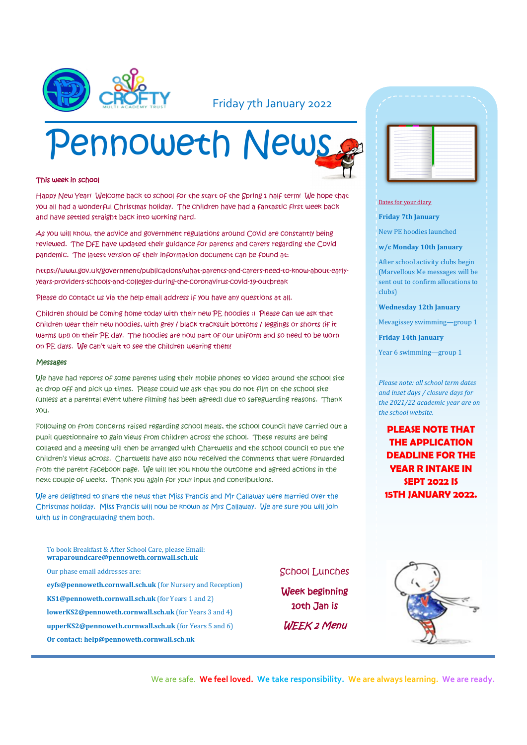

### Friday 7th January 2022

# Pennoweth News

#### This week in school

Happy New Year! Welcome back to school for the start of the Spring 1 half term! We hope that you all had a wonderful Christmas holiday. The children have had a fantastic first week back and have settled straight back into working hard.

As you will know, the advice and government regulations around Covid are constantly being reviewed. The DfE have updated their guidance for parents and carers regarding the Covid pandemic. The latest version of their information document can be found at:

https://www.gov.uk/government/publications/what-parents-and-carers-need-to-know-about-earlyyears-providers-schools-and-colleges-during-the-coronavirus-covid-19-outbreak

Please do contact us via the help email address if you have any questions at all.

Children should be coming home today with their new PE hoodies :) Please can we ask that children wear their new hoodies, with grey / black tracksuit bottoms / leggings or shorts (if it warms up!) on their PE day. The hoodies are now part of our uniform and so need to be worn on PE days. We can't wait to see the children wearing them!

#### Messages

We have had reports of some parents using their mobile phones to video around the school site at drop off and pick up times. Please could we ask that you do not film on the school site (unless at a parental event where filming has been agreed) due to safeguarding reasons. Thank you.

Following on from concerns raised regarding school meals, the school council have carried out a pupil questionnaire to gain views from children across the school. These results are being collated and a meeting will then be arranged with Chartwells and the school council to put the children's views across. Chartwells have also now received the comments that were forwarded from the parent facebook page. We will let you know the outcome and agreed actions in the next couple of weeks. Thank you again for your input and contributions.

We are delighted to share the news that Miss Francis and Mr Callaway were married over the Christmas holiday. Miss Francis will now be known as Mrs Callaway. We are sure you will join with us in congratulating them both.

To book Breakfast & After School Care, please Email: **wraparoundcare@pennoweth.cornwall.sch.uk** Our phase email addresses are: **eyfs@pennoweth.cornwall.sch.uk** (for Nursery and Reception)

- **KS1@pennoweth.cornwall.sch.uk** (for Years 1 and 2)
- **lowerKS2@pennoweth.cornwall.sch.uk** (for Years 3 and 4)
- **upperKS2@pennoweth.cornwall.sch.uk** (for Years 5 and 6)
- **Or contact: help@pennoweth.cornwall.sch.uk**



#### Dates for your diary

**Friday 7th January**

New PE hoodies launched

**w/c Monday 10th January**

After school activity clubs begin (Marvellous Me messages will be sent out to confirm allocations to clubs)

**Wednesday 12th January**

Mevagissey swimming—group 1

**Friday 14th January**

Year 6 swimming—group 1

*Please note: all school term dates and inset days / closure days for the 2021/22 academic year are on the school website.* 

**PLEASE NOTE THAT THE APPLICATION DEADLINE FOR THE YEAR R INTAKE IN SEPT 2022 IS 15TH JANUARY 2022.**

#### School Lunches

Week beginning 10th Jan is WEEK 2 Menu



We are safe. **We feel loved. We take responsibility. We are always learning. We are ready.**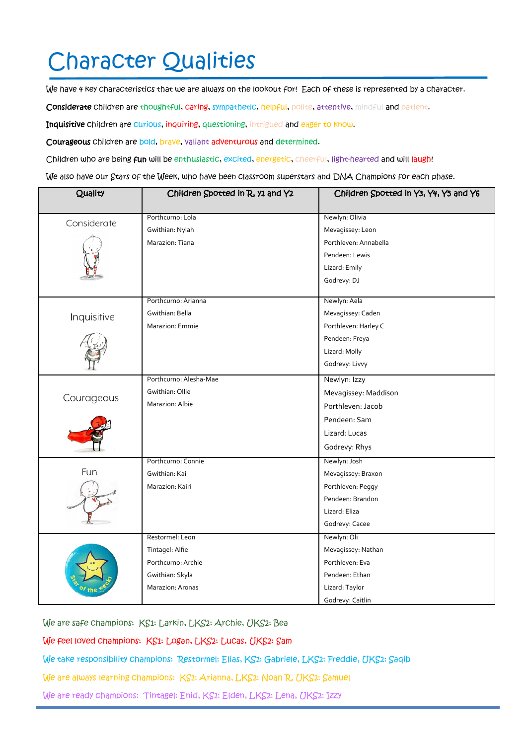## Character Qualities

We have 4 key characteristics that we are always on the lookout for! Each of these is represented by a character.

Considerate children are thoughtful, caring, sympathetic, helpful, polite, attentive, mindful and patient.

Inquisitive children are curious, inquiring, questioning, intrigued and eager to know.

Courageous children are bold, brave, valiant adventurous and determined.

Children who are being fun will be enthusiastic, excited, energetic, cheerful, light-hearted and will laugh!

We also have our Stars of the Week, who have been classroom superstars and DNA Champions for each phase.

| Quality     | Children Spotted in R, y1 and Y2 | Children Spotted in Y3, Y4, Y5 and Y6 |
|-------------|----------------------------------|---------------------------------------|
|             |                                  |                                       |
| Considerate | Porthcurno: Lola                 | Newlyn: Olivia                        |
|             | Gwithian: Nylah                  | Mevagissey: Leon                      |
|             | Marazion: Tiana                  | Porthleven: Annabella                 |
|             |                                  | Pendeen: Lewis                        |
|             |                                  | Lizard: Emily                         |
|             |                                  | Godrevy: DJ                           |
| Inquisitive | Porthcurno: Arianna              | Newlyn: Aela                          |
|             | Gwithian: Bella                  | Mevagissey: Caden                     |
|             | Marazion: Emmie                  | Porthleven: Harley C                  |
|             |                                  | Pendeen: Freya                        |
|             |                                  | Lizard: Molly                         |
|             |                                  | Godrevy: Livvy                        |
| Courageous  | Porthcurno: Alesha-Mae           | Newlyn: Izzy                          |
|             | Gwithian: Ollie                  | Mevagissey: Maddison                  |
|             | Marazion: Albie                  | Porthleven: Jacob                     |
|             |                                  | Pendeen: Sam                          |
|             |                                  | Lizard: Lucas                         |
|             |                                  | Godrevy: Rhys                         |
|             | Porthcurno: Connie               | Newlyn: Josh                          |
| Fun         | Gwithian: Kai                    | Mevagissey: Braxon                    |
|             | Marazion: Kairi                  | Porthleven: Peggy                     |
|             |                                  | Pendeen: Brandon                      |
|             |                                  | Lizard: Eliza                         |
|             |                                  | Godrevy: Cacee                        |
|             | Restormel: Leon                  | Newlyn: Oli                           |
|             | Tintagel: Alfie                  | Mevagissey: Nathan                    |
|             | Porthcurno: Archie               | Porthleven: Eva                       |
|             | Gwithian: Skyla                  | Pendeen: Ethan                        |
|             | Marazion: Aronas                 | Lizard: Taylor                        |
|             |                                  | Godrevy: Caitlin                      |

We are safe champions: KS1: Larkin, LKS2: Archie, UKS2: Bea

We feel loved champions: KS1: Logan, LKS2: Lucas, UKS2: Sam

We take responsibility champions: Restormel: Elias, KS1: Gabriele, LKS2: Freddie, UKS2: Saqib

We are always learning champions: KS1: Arianna, LKS2: Noah R, UKS2: Samuel

We are ready champions: Tintagel: Enid, KS1: Elden, LKS2: Lena, UKS2: Izzy